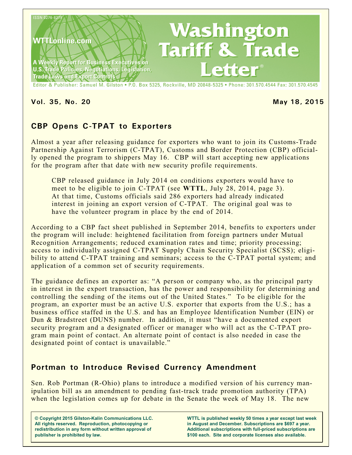

**Vol. 35, No. 20 May 18, 2015**

# **CBP Opens C-TPAT to Exporters**

Almost a year after releasing guidance for exporters who want to join its Customs-Trade Partnership Against Terrorism (C-TPAT), Customs and Border Protection (CBP) officially opened the program to shippers May 16. CBP will start accepting new applications for the program after that date with new security profile requirements.

CBP released guidance in July 2014 on conditions exporters would have to meet to be eligible to join C-TPAT (see **WTTL**, July 28, 2014, page 3). At that time, Customs officials said 286 exporters had already indicated interest in joining an export version of C-TPAT. The original goal was to have the volunteer program in place by the end of 2014.

According to a CBP fact sheet published in September 2014, benefits to exporters under the program will include: heightened facilitation from foreign partners under Mutual Recognition Arrangements; reduced examination rates and time; priority processing; access to individually assigned C-TPAT Supply Chain Security Specialist (SCSS); eligibility to attend C-TPAT training and seminars; access to the C-TPAT portal system; and application of a common set of security requirements.

The guidance defines an exporter as: "A person or company who, as the principal party in interest in the export transaction, has the power and responsibility for determining and controlling the sending of the items out of the United States." To be eligible for the program, an exporter must be an active U.S. exporter that exports from the U.S.; has a business office staffed in the U.S. and has an Employee Identification Number (EIN) or Dun & Bradstreet (DUNS) number. In addition, it must "have a documented export security program and a designated officer or manager who will act as the C-TPAT program main point of contact. An alternate point of contact is also needed in case the designated point of contact is unavailable."

# **Portman to Introduce Revised Currency Amendment**

Sen. Rob Portman (R-Ohio) plans to introduce a modified version of his currency manipulation bill as an amendment to pending fast-track trade promotion authority (TPA) when the legislation comes up for debate in the Senate the week of May 18. The new

**© Copyright 2015 Gilston-Kalin Communications LLC. All rights reserved. Reproduction, photocopying or redistribution in any form without written approval of publisher is prohibited by law.** 

**WTTL is published weekly 50 times a year except last week in August and December. Subscriptions are \$697 a year. Additional subscriptions with full-priced subscriptions are \$100 each. Site and corporate licenses also available.**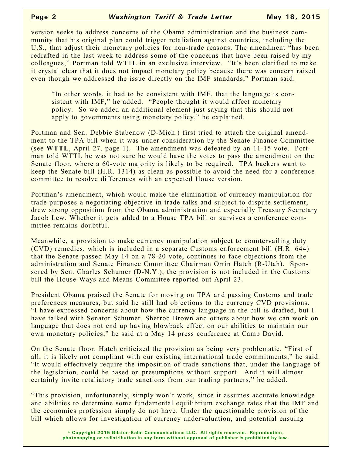version seeks to address concerns of the Obama administration and the business community that his original plan could trigger retaliation against countries, including the U.S., that adjust their monetary policies for non-trade reasons. The amendment "has been redrafted in the last week to address some of the concerns that have been raised by my colleagues," Portman told WTTL in an exclusive interview. "It's been clarified to make it crystal clear that it does not impact monetary policy because there was concern raised even though we addressed the issue directly on the IMF standards," Portman said.

"In other words, it had to be consistent with IMF, that the language is consistent with IMF," he added. "People thought it would affect monetary policy. So we added an additional element just saying that this should not apply to governments using monetary policy," he explained.

Portman and Sen. Debbie Stabenow (D-Mich.) first tried to attach the original amendment to the TPA bill when it was under consideration by the Senate Finance Committee (see **WTTL**, April 27, page 1). The amendment was defeated by an 11-15 vote. Portman told WTTL he was not sure he would have the votes to pass the amendment on the Senate floor, where a 60-vote majority is likely to be required. TPA backers want to keep the Senate bill (H.R. 1314) as clean as possible to avoid the need for a conference committee to resolve differences with an expected House version.

Portman's amendment, which would make the elimination of currency manipulation for trade purposes a negotiating objective in trade talks and subject to dispute settlement, drew strong opposition from the Obama administration and especially Treasury Secretary Jacob Lew. Whether it gets added to a House TPA bill or survives a conference committee remains doubtful.

Meanwhile, a provision to make currency manipulation subject to countervailing duty (CVD) remedies, which is included in a separate Customs enforcement bill (H.R. 644) that the Senate passed May 14 on a 78-20 vote, continues to face objections from the administration and Senate Finance Committee Chairman Orrin Hatch (R-Utah). Sponsored by Sen. Charles Schumer (D-N.Y.), the provision is not included in the Customs bill the House Ways and Means Committee reported out April 23.

President Obama praised the Senate for moving on TPA and passing Customs and trade preferences measures, but said he still had objections to the currency CVD provisions. "I have expressed concerns about how the currency language in the bill is drafted, but I have talked with Senator Schumer, Sherrod Brown and others about how we can work on language that does not end up having blowback effect on our abilities to maintain our own monetary policies," he said at a May 14 press conference at Camp David.

On the Senate floor, Hatch criticized the provision as being very problematic. "First of all, it is likely not compliant with our existing international trade commitments," he said. "It would effectively require the imposition of trade sanctions that, under the language of the legislation, could be based on presumptions without support. And it will almost certainly invite retaliatory trade sanctions from our trading partners," he added.

"This provision, unfortunately, simply won't work, since it assumes accurate knowledge and abilities to determine some fundamental equilibrium exchange rates that the IMF and the economics profession simply do not have. Under the questionable provision of the bill which allows for investigation of currency undervaluation, and potential ensuing

> **© Copyright 2015 Gilston-Kalin Communications LLC. All rights reserved. Reproduction, photocopying or redistribution in any form without approval of publisher is prohibited by law.**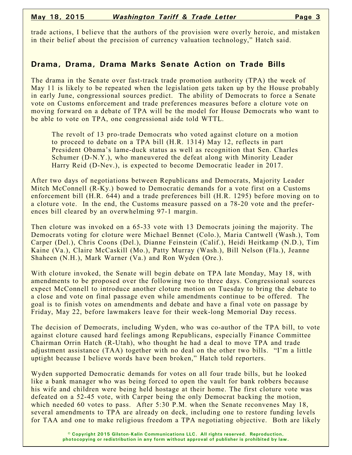trade actions, I believe that the authors of the provision were overly heroic, and mistaken in their belief about the precision of currency valuation technology," Hatch said.

## **Drama, Drama, Drama Marks Senate Action on Trade Bills**

The drama in the Senate over fast-track trade promotion authority (TPA) the week of May 11 is likely to be repeated when the legislation gets taken up by the House probably in early June, congressional sources predict. The ability of Democrats to force a Senate vote on Customs enforcement and trade preferences measures before a cloture vote on moving forward on a debate of TPA will be the model for House Democrats who want to be able to vote on TPA, one congressional aide told WTTL.

The revolt of 13 pro-trade Democrats who voted against cloture on a motion to proceed to debate on a TPA bill (H.R. 1314) May 12, reflects in part President Obama's lame-duck status as well as recognition that Sen. Charles Schumer (D-N.Y.), who maneuvered the defeat along with Minority Leader Harry Reid (D-Nev.), is expected to become Democratic leader in 2017.

After two days of negotiations between Republicans and Democrats, Majority Leader Mitch McConnell (R-Ky.) bowed to Democratic demands for a vote first on a Customs enforcement bill (H.R. 644) and a trade preferences bill (H.R. 1295) before moving on to a cloture vote. In the end, the Customs measure passed on a 78-20 vote and the preferences bill cleared by an overwhelming 97-1 margin.

Then cloture was invoked on a 65-33 vote with 13 Democrats joining the majority. The Democrats voting for cloture were Michael Bennet (Colo.), Maria Cantwell (Wash.), Tom Carper (Del.), Chris Coons (Del.), Dianne Feinstein (Calif.), Heidi Heitkamp (N.D.), Tim Kaine (Va.), Claire McCaskill (Mo.), Patty Murray (Wash.), Bill Nelson (Fla.), Jeanne Shaheen (N.H.), Mark Warner (Va.) and Ron Wyden (Ore.).

With cloture invoked, the Senate will begin debate on TPA late Monday, May 18, with amendments to be proposed over the following two to three days. Congressional sources expect McConnell to introduce another cloture motion on Tuesday to bring the debate to a close and vote on final passage even while amendments continue to be offered. The goal is to finish votes on amendments and debate and have a final vote on passage by Friday, May 22, before lawmakers leave for their week-long Memorial Day recess.

The decision of Democrats, including Wyden, who was co-author of the TPA bill, to vote against cloture caused hard feelings among Republicans, especially Finance Committee Chairman Orrin Hatch (R-Utah), who thought he had a deal to move TPA and trade adjustment assistance (TAA) together with no deal on the other two bills. "I'm a little uptight because I believe words have been broken," Hatch told reporters.

Wyden supported Democratic demands for votes on all four trade bills, but he looked like a bank manager who was being forced to open the vault for bank robbers because his wife and children were being held hostage at their home. The first cloture vote was defeated on a 52-45 vote, with Carper being the only Democrat backing the motion, which needed 60 votes to pass. After 5:30 P.M. when the Senate reconvenes May 18, several amendments to TPA are already on deck, including one to restore funding levels for TAA and one to make religious freedom a TPA negotiating objective. Both are likely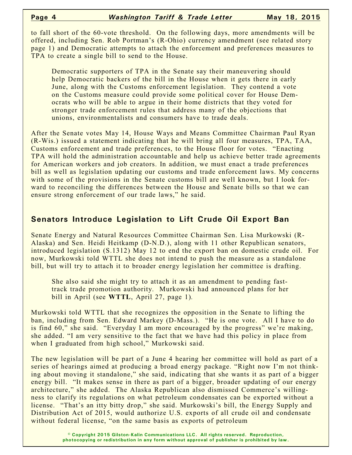to fall short of the 60-vote threshold. On the following days, more amendments will be offered, including Sen. Rob Portman's (R-Ohio) currency amendment (see related story page 1) and Democratic attempts to attach the enforcement and preferences measures to TPA to create a single bill to send to the House.

Democratic supporters of TPA in the Senate say their maneuvering should help Democratic backers of the bill in the House when it gets there in early June, along with the Customs enforcement legislation. They contend a vote on the Customs measure could provide some political cover for House Democrats who will be able to argue in their home districts that they voted for stronger trade enforcement rules that address many of the objections that unions, environmentalists and consumers have to trade deals.

After the Senate votes May 14, House Ways and Means Committee Chairman Paul Ryan (R-Wis.) issued a statement indicating that he will bring all four measures, TPA, TAA, Customs enforcement and trade preferences, to the House floor for votes. "Enacting TPA will hold the administration accountable and help us achieve better trade agreements for American workers and job creators. In addition, we must enact a trade preferences bill as well as legislation updating our customs and trade enforcement laws. My concerns with some of the provisions in the Senate customs bill are well known, but I look forward to reconciling the differences between the House and Senate bills so that we can ensure strong enforcement of our trade laws," he said.

## **Senators Introduce Legislation to Lift Crude Oil Export Ban**

Senate Energy and Natural Resources Committee Chairman Sen. Lisa Murkowski (R-Alaska) and Sen. Heidi Heitkamp (D-N.D.), along with 11 other Republican senators, introduced legislation (S.1312) May 12 to end the export ban on domestic crude oil. For now, Murkowski told WTTL she does not intend to push the measure as a standalone bill, but will try to attach it to broader energy legislation her committee is drafting.

She also said she might try to attach it as an amendment to pending fasttrack trade promotion authority. Murkowski had announced plans for her bill in April (see **WTTL**, April 27, page 1)*.*

Murkowski told WTTL that she recognizes the opposition in the Senate to lifting the ban, including from Sen. Edward Markey (D-Mass.). "He is one vote. All I have to do is find 60," she said. "Everyday I am more encouraged by the progress" we're making, she added. "I am very sensitive to the fact that we have had this policy in place from when I graduated from high school," Murkowski said.

The new legislation will be part of a June 4 hearing her committee will hold as part of a series of hearings aimed at producing a broad energy package. "Right now I'm not thinking about moving it standalone," she said, indicating that she wants it as part of a bigger energy bill. "It makes sense in there as part of a bigger, broader updating of our energy architecture," she added. The Alaska Republican also dismissed Commerce's willingness to clarify its regulations on what petroleum condensates can be exported without a license. "That's an itty bitty drop," she said. Murkowski's bill, the Energy Supply and Distribution Act of 2015, would authorize U.S. exports of all crude oil and condensate without federal license, "on the same basis as exports of petroleum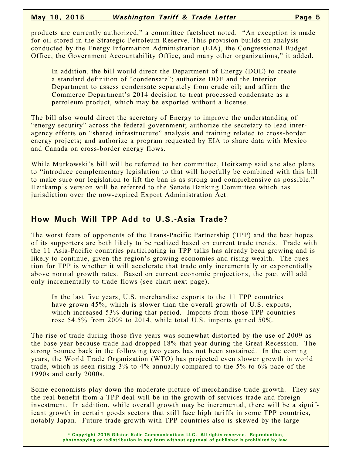### **May 18, 2015** *Washington Tariff & Trade Letter* **Page 5**

products are currently authorized," a committee factsheet noted. "An exception is made for oil stored in the Strategic Petroleum Reserve. This provision builds on analysis conducted by the Energy Information Administration (EIA), the Congressional Budget Office, the Government Accountability Office, and many other organizations," it added.

In addition, the bill would direct the Department of Energy (DOE) to create a standard definition of "condensate"; authorize DOE and the Interior Department to assess condensate separately from crude oil; and affirm the Commerce Department's 2014 decision to treat processed condensate as a petroleum product, which may be exported without a license.

The bill also would direct the secretary of Energy to improve the understanding of "energy security" across the federal government; authorize the secretary to lead interagency efforts on "shared infrastructure" analysis and training related to cross-border energy projects; and authorize a program requested by EIA to share data with Mexico and Canada on cross-border energy flows.

While Murkowski's bill will be referred to her committee, Heitkamp said she also plans to "introduce complementary legislation to that will hopefully be combined with this bill to make sure our legislation to lift the ban is as strong and comprehensive as possible." Heitkamp's version will be referred to the Senate Banking Committee which has jurisdiction over the now-expired Export Administration Act.

# **How Much Will TPP Add to U.S.-Asia Trade?**

The worst fears of opponents of the Trans-Pacific Partnership (TPP) and the best hopes of its supporters are both likely to be realized based on current trade trends. Trade with the 11 Asia-Pacific countries participating in TPP talks has already been growing and is likely to continue, given the region's growing economies and rising wealth. The question for TPP is whether it will accelerate that trade only incrementally or exponentially above normal growth rates. Based on current economic projections, the pact will add only incrementally to trade flows (see chart next page).

In the last five years, U.S. merchandise exports to the 11 TPP countries have grown 45%, which is slower than the overall growth of U.S. exports, which increased 53% during that period. Imports from those TPP countries rose 54.5% from 2009 to 2014, while total U.S. imports gained 50%.

The rise of trade during those five years was somewhat distorted by the use of 2009 as the base year because trade had dropped 18% that year during the Great Recession. The strong bounce back in the following two years has not been sustained. In the coming years, the World Trade Organization (WTO) has projected even slower growth in world trade, which is seen rising 3% to 4% annually compared to the 5% to 6% pace of the 1990s and early 2000s.

Some economists play down the moderate picture of merchandise trade growth. They say the real benefit from a TPP deal will be in the growth of services trade and foreign investment. In addition, while overall growth may be incremental, there will be a significant growth in certain goods sectors that still face high tariffs in some TPP countries, notably Japan. Future trade growth with TPP countries also is skewed by the large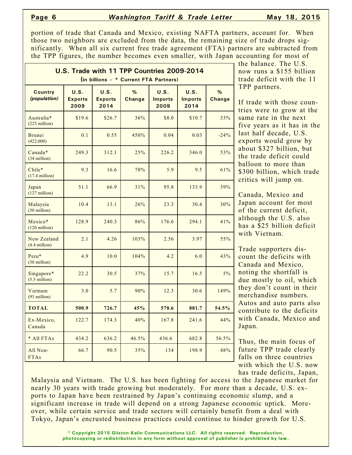### **Page 6** *Washington Tariff & Trade Letter* **May 18, 2015**

portion of trade that Canada and Mexico, existing NAFTA partners, account for. When those two neighbors are excluded from the data, the remaining size of trade drops significantly. When all six current free trade agreement (FTA) partners are subtracted from the TPP figures, the number becomes even smaller, with Japan accounting for most of

| U.S. Trade with 11 TPP Countries 2009-2014<br>(in billions - * Current FTA Partners) |                                |                                |                    |                                |                                |                    |
|--------------------------------------------------------------------------------------|--------------------------------|--------------------------------|--------------------|--------------------------------|--------------------------------|--------------------|
| <b>Country</b><br>(population)                                                       | U.S.<br><b>Exports</b><br>2009 | U.S.<br><b>Exports</b><br>2014 | %<br><b>Change</b> | U.S.<br><b>Imports</b><br>2009 | U.S.<br><b>Imports</b><br>2014 | %<br><b>Change</b> |
| Australia*<br>$(225$ million)                                                        | \$19.6                         | \$26.7                         | 36%                | \$8.0                          | \$10.7                         | 33%                |
| <b>Brunei</b><br>(422,000)                                                           | 0.1                            | 0.55                           | 450%               | 0.04                           | 0.03                           | $-24%$             |
| Canada*<br>$(34$ million)                                                            | 249.3                          | 312.1                          | 25%                | 226.2                          | 346.0                          | 53%                |
| Chile*<br>$(17.4$ million)                                                           | 9.3                            | 16.6                           | 78%                | 5.9                            | 9.5                            | 61%                |
| Japan<br>$(127 \text{ million})$                                                     | 51.1                           | 66.9                           | 31%                | 95.8                           | 133.9                          | 39%                |
| Malaysia<br>$(30$ million)                                                           | 10.4                           | 13.1                           | 26%                | 23.3                           | 30.4                           | 30%                |
| Mexico*<br>$(120 \text{ million})$                                                   | 128.9                          | 240.3                          | 86%                | 176.6                          | 294.1                          | 41%                |
| New Zealand<br>$(4.4$ million)                                                       | 2.1                            | 4.26                           | 103%               | 2.56                           | 3.97                           | 55%                |
| Peru*<br>(30 million)                                                                | 4.9                            | 10.0                           | 104%               | 4.2                            | 6.0                            | 43%                |
| Singapore*<br>$(5.5$ million)                                                        | 22.2                           | 30.5                           | 37%                | 15.7                           | 16.5                           | $5\%$              |
| Vietnam<br>$(93$ million)                                                            | 3.0                            | 5.7                            | 90%                | 12.3                           | 30.6                           | 149%               |
| <b>TOTAL</b>                                                                         | 500.9                          | 726.7                          | 45%                | 570.6                          | 881.7                          | 54.5%              |
| Ex-Mexico,<br>Canada                                                                 | 122.7                          | 174.3                          | 40%                | 167.8                          | 241.6                          | 44%                |
| * All FTAs                                                                           | 434.2                          | 636.2                          | 46.5%              | 436.6                          | 682.8                          | 56.5%              |
| All Non-<br><b>FTAs</b>                                                              | 66.7                           | 90.5                           | 35%                | 134                            | 198.9                          | 48%                |

 $\overline{\phantom{a}}$  the balance. The U.S. now runs a \$155 billion trade deficit with the 11 TPP partners.

If trade with those countries were to grow at the same rate in the next five years as it has in the last half decade, U.S. exports would grow by about \$327 billion, but the trade deficit could balloon to more than \$300 billion, which trade critics will jump on.

Canada, Mexico and Japan account for most of the current deficit, although the U.S. also has a \$25 billion deficit with Vietnam.

Trade supporters discount the deficits with Canada and Mexico, noting the shortfall is due mostly to oil, which they don't count in their merchandise numbers. Autos and auto parts also contribute to the deficits with Canada, Mexico and Japan.

Thus, the main focus of future TPP trade clearly falls on three countries with which the U.S. now has trade deficits, Japan,

Malaysia and Vietnam. The U.S. has been fighting for access to the Japanese market for nearly 30 years with trade growing but moderately. For more than a decade, U.S. exports to Japan have been restrained by Japan's continuing economic slump, and a significant increase in trade will depend on a strong Japanese economic uptick. Moreover, while certain service and trade sectors will certainly benefit from a deal with Tokyo, Japan's encrusted business practices could continue to hinder growth for U.S.

> **© Copyright 2015 Gilston-Kalin Communications LLC. All rights reserved. Reproduction, photocopying or redistribution in any form without approval of publisher is prohibited by law.**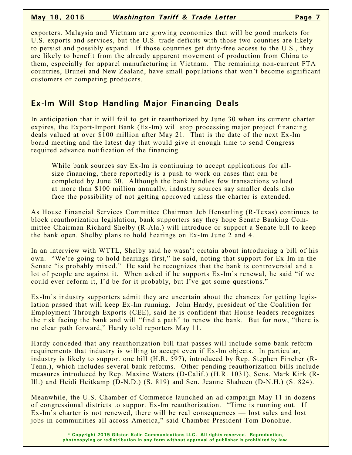### **May 18, 2015** *Washington Tariff & Trade Letter* **Page 7**

exporters. Malaysia and Vietnam are growing economies that will be good markets for U.S. exports and services, but the U.S. trade deficits with those two counties are likely to persist and possibly expand. If those countries get duty-free access to the U.S., they are likely to benefit from the already apparent movement of production from China to them, especially for apparel manufacturing in Vietnam. The remaining non-current FTA countries, Brunei and New Zealand, have small populations that won't become significant customers or competing producers.

# **Ex-Im Will Stop Handling Major Financing Deals**

In anticipation that it will fail to get it reauthorized by June 30 when its current charter expires, the Export-Import Bank (Ex-Im) will stop processing major project financing deals valued at over \$100 million after May 21. That is the date of the next Ex-Im board meeting and the latest day that would give it enough time to send Congress required advance notification of the financing.

While bank sources say Ex-Im is continuing to accept applications for allsize financing, there reportedly is a push to work on cases that can be completed by June 30. Although the bank handles few transactions valued at more than \$100 million annually, industry sources say smaller deals also face the possibility of not getting approved unless the charter is extended.

As House Financial Services Committee Chairman Jeb Hensarling (R-Texas) continues to block reauthorization legislation, bank supporters say they hope Senate Banking Committee Chairman Richard Shelby (R-Ala.) will introduce or support a Senate bill to keep the bank open. Shelby plans to hold hearings on Ex-Im June 2 and 4.

In an interview with WTTL, Shelby said he wasn't certain about introducing a bill of his own. "We're going to hold hearings first," he said, noting that support for Ex-Im in the Senate "is probably mixed." He said he recognizes that the bank is controversial and a lot of people are against it. When asked if he supports Ex-Im's renewal, he said "if we could ever reform it, I'd be for it probably, but I've got some questions."

Ex-Im's industry supporters admit they are uncertain about the chances for getting legislation passed that will keep Ex-Im running. John Hardy, president of the Coalition for Employment Through Exports (CEE), said he is confident that House leaders recognizes the risk facing the bank and will "find a path" to renew the bank. But for now, "there is no clear path forward," Hardy told reporters May 11.

Hardy conceded that any reauthorization bill that passes will include some bank reform requirements that industry is willing to accept even if Ex-Im objects. In particular, industry is likely to support one bill (H.R. 597), introduced by Rep. Stephen Fincher (R-Tenn.), which includes several bank reforms. Other pending reauthorization bills include measures introduced by Rep. Maxine Waters (D-Calif.) (H.R. 1031), Sens. Mark Kirk (R-Ill.) and Heidi Heitkamp (D-N.D.) (S. 819) and Sen. Jeanne Shaheen (D-N.H.) (S. 824).

Meanwhile, the U.S. Chamber of Commerce launched an ad campaign May 11 in dozens of congressional districts to support Ex-Im reauthorization. "Time is running out. If Ex-Im's charter is not renewed, there will be real consequences — lost sales and lost jobs in communities all across America," said Chamber President Tom Donohue.